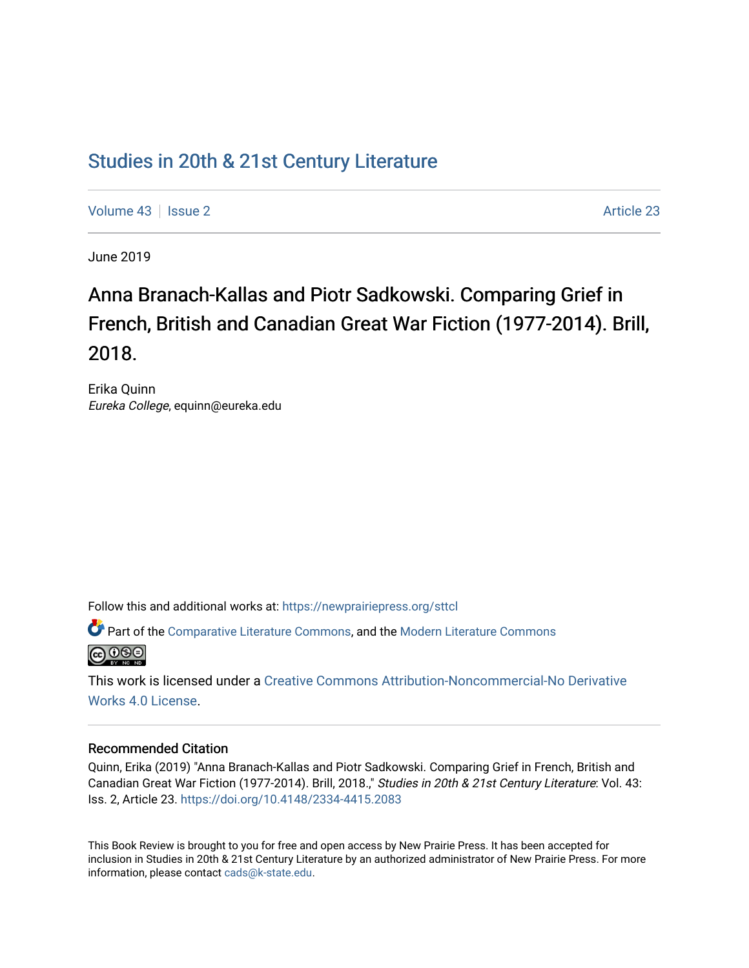## [Studies in 20th & 21st Century Literature](https://newprairiepress.org/sttcl)

[Volume 43](https://newprairiepress.org/sttcl/vol43) | [Issue 2](https://newprairiepress.org/sttcl/vol43/iss2) [Article 23](https://newprairiepress.org/sttcl/vol43/iss2/23) | Article 23 Article 23 | Article 23 Article 23 | Article 23 | Article 23 | Article 23 | Article 23 | Article 23 | Article 23 | Article 23 | Article 23 | Article 23 | Article 23 | Article 23

June 2019

# Anna Branach-Kallas and Piotr Sadkowski. Comparing Grief in French, British and Canadian Great War Fiction (1977-2014). Brill, 2018.

Erika Quinn Eureka College, equinn@eureka.edu

Follow this and additional works at: [https://newprairiepress.org/sttcl](https://newprairiepress.org/sttcl?utm_source=newprairiepress.org%2Fsttcl%2Fvol43%2Fiss2%2F23&utm_medium=PDF&utm_campaign=PDFCoverPages) 

Part of the [Comparative Literature Commons](http://network.bepress.com/hgg/discipline/454?utm_source=newprairiepress.org%2Fsttcl%2Fvol43%2Fiss2%2F23&utm_medium=PDF&utm_campaign=PDFCoverPages), and the [Modern Literature Commons](http://network.bepress.com/hgg/discipline/1050?utm_source=newprairiepress.org%2Fsttcl%2Fvol43%2Fiss2%2F23&utm_medium=PDF&utm_campaign=PDFCoverPages)   $\bigcirc$  000

This work is licensed under a [Creative Commons Attribution-Noncommercial-No Derivative](https://creativecommons.org/licenses/by-nc-nd/4.0/)  [Works 4.0 License](https://creativecommons.org/licenses/by-nc-nd/4.0/).

#### Recommended Citation

Quinn, Erika (2019) "Anna Branach-Kallas and Piotr Sadkowski. Comparing Grief in French, British and Canadian Great War Fiction (1977-2014). Brill, 2018.," Studies in 20th & 21st Century Literature: Vol. 43: Iss. 2, Article 23. <https://doi.org/10.4148/2334-4415.2083>

This Book Review is brought to you for free and open access by New Prairie Press. It has been accepted for inclusion in Studies in 20th & 21st Century Literature by an authorized administrator of New Prairie Press. For more information, please contact [cads@k-state.edu](mailto:cads@k-state.edu).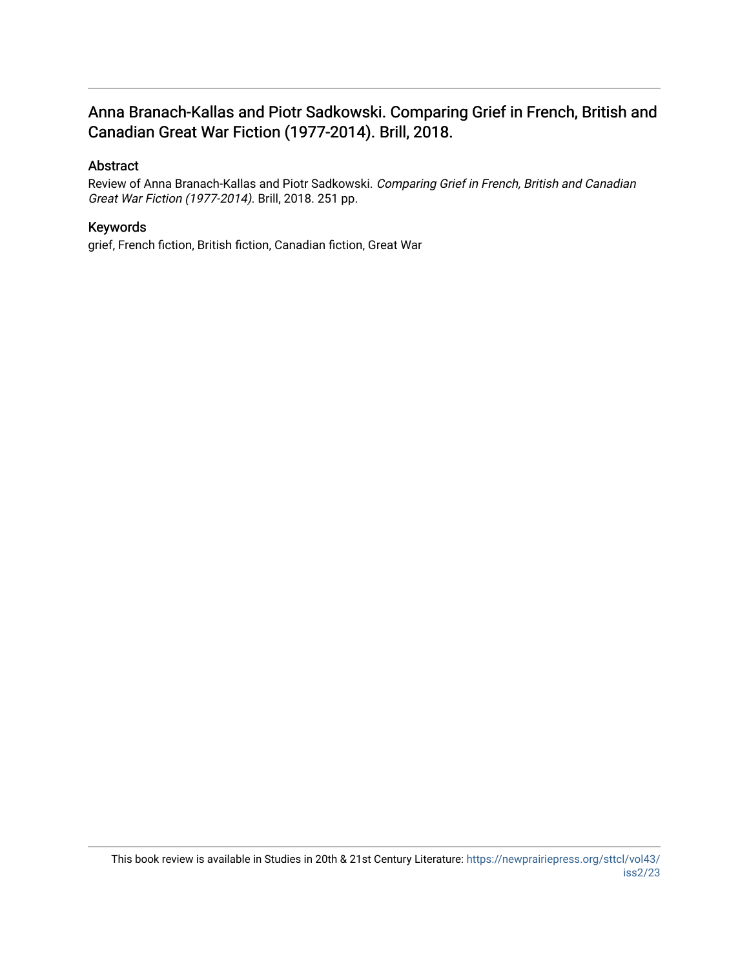### Anna Branach-Kallas and Piotr Sadkowski. Comparing Grief in French, British and Canadian Great War Fiction (1977-2014). Brill, 2018.

### Abstract

Review of Anna Branach-Kallas and Piotr Sadkowski. Comparing Grief in French, British and Canadian Great War Fiction (1977-2014). Brill, 2018. 251 pp.

### Keywords

grief, French fiction, British fiction, Canadian fiction, Great War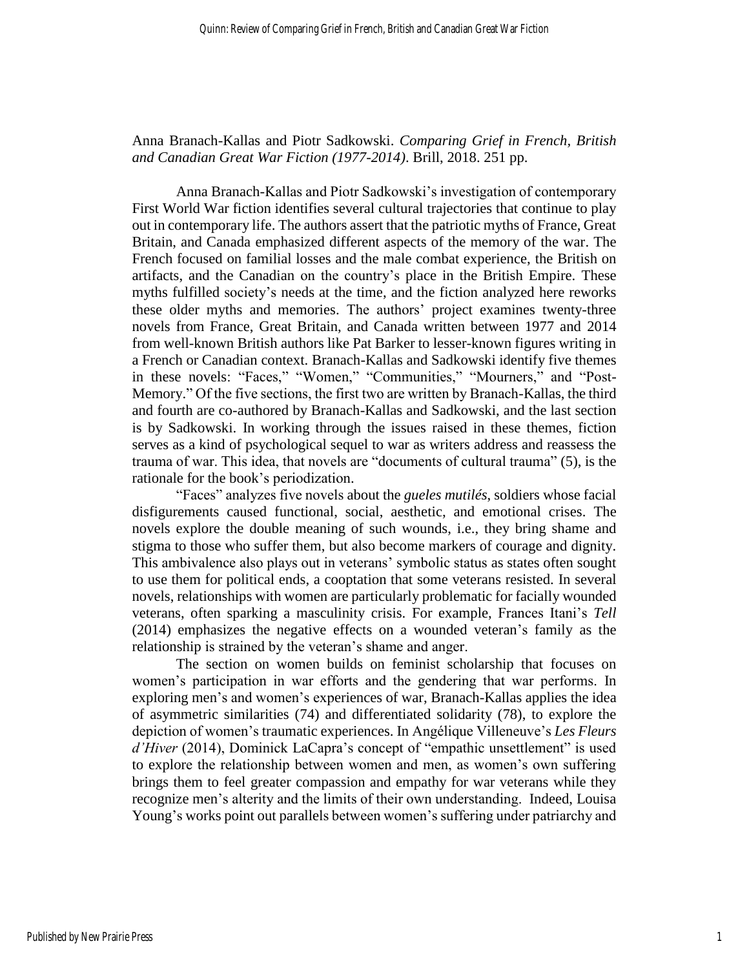### Anna Branach-Kallas and Piotr Sadkowski. *Comparing Grief in French, British and Canadian Great War Fiction (1977-2014)*. Brill, 2018. 251 pp.

Anna Branach-Kallas and Piotr Sadkowski's investigation of contemporary First World War fiction identifies several cultural trajectories that continue to play out in contemporary life. The authors assert that the patriotic myths of France, Great Britain, and Canada emphasized different aspects of the memory of the war. The French focused on familial losses and the male combat experience, the British on artifacts, and the Canadian on the country's place in the British Empire. These myths fulfilled society's needs at the time, and the fiction analyzed here reworks these older myths and memories. The authors' project examines twenty-three novels from France, Great Britain, and Canada written between 1977 and 2014 from well-known British authors like Pat Barker to lesser-known figures writing in a French or Canadian context. Branach-Kallas and Sadkowski identify five themes in these novels: "Faces," "Women," "Communities," "Mourners," and "Post-Memory." Of the five sections, the first two are written by Branach-Kallas, the third and fourth are co-authored by Branach-Kallas and Sadkowski, and the last section is by Sadkowski. In working through the issues raised in these themes, fiction serves as a kind of psychological sequel to war as writers address and reassess the trauma of war. This idea, that novels are "documents of cultural trauma" (5), is the rationale for the book's periodization.

"Faces" analyzes five novels about the *gueles mutilés*, soldiers whose facial disfigurements caused functional, social, aesthetic, and emotional crises. The novels explore the double meaning of such wounds, i.e., they bring shame and stigma to those who suffer them, but also become markers of courage and dignity. This ambivalence also plays out in veterans' symbolic status as states often sought to use them for political ends, a cooptation that some veterans resisted. In several novels, relationships with women are particularly problematic for facially wounded veterans, often sparking a masculinity crisis. For example, Frances Itani's *Tell* (2014) emphasizes the negative effects on a wounded veteran's family as the relationship is strained by the veteran's shame and anger.

The section on women builds on feminist scholarship that focuses on women's participation in war efforts and the gendering that war performs. In exploring men's and women's experiences of war, Branach-Kallas applies the idea of asymmetric similarities (74) and differentiated solidarity (78), to explore the depiction of women's traumatic experiences. In Angélique Villeneuve's *Les Fleurs d'Hiver* (2014), Dominick LaCapra's concept of "empathic unsettlement" is used to explore the relationship between women and men, as women's own suffering brings them to feel greater compassion and empathy for war veterans while they recognize men's alterity and the limits of their own understanding. Indeed, Louisa Young's works point out parallels between women's suffering under patriarchy and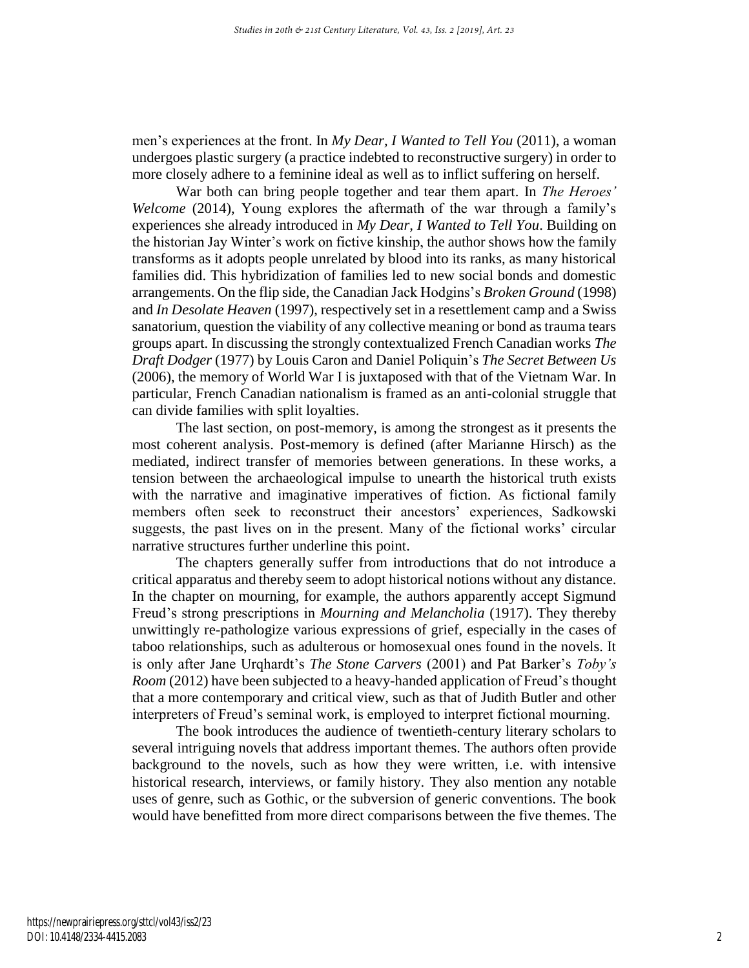men's experiences at the front. In *My Dear, I Wanted to Tell You* (2011), a woman undergoes plastic surgery (a practice indebted to reconstructive surgery) in order to more closely adhere to a feminine ideal as well as to inflict suffering on herself.

War both can bring people together and tear them apart. In *The Heroes' Welcome* (2014), Young explores the aftermath of the war through a family's experiences she already introduced in *My Dear, I Wanted to Tell You*. Building on the historian Jay Winter's work on fictive kinship, the author shows how the family transforms as it adopts people unrelated by blood into its ranks, as many historical families did. This hybridization of families led to new social bonds and domestic arrangements. On the flip side, the Canadian Jack Hodgins's *Broken Ground* (1998) and *In Desolate Heaven* (1997), respectively set in a resettlement camp and a Swiss sanatorium, question the viability of any collective meaning or bond as trauma tears groups apart. In discussing the strongly contextualized French Canadian works *The Draft Dodger* (1977) by Louis Caron and Daniel Poliquin's *The Secret Between Us* (2006), the memory of World War I is juxtaposed with that of the Vietnam War. In particular, French Canadian nationalism is framed as an anti-colonial struggle that can divide families with split loyalties.

The last section, on post-memory, is among the strongest as it presents the most coherent analysis. Post-memory is defined (after Marianne Hirsch) as the mediated, indirect transfer of memories between generations. In these works, a tension between the archaeological impulse to unearth the historical truth exists with the narrative and imaginative imperatives of fiction. As fictional family members often seek to reconstruct their ancestors' experiences, Sadkowski suggests, the past lives on in the present. Many of the fictional works' circular narrative structures further underline this point.

The chapters generally suffer from introductions that do not introduce a critical apparatus and thereby seem to adopt historical notions without any distance. In the chapter on mourning, for example, the authors apparently accept Sigmund Freud's strong prescriptions in *Mourning and Melancholia* (1917). They thereby unwittingly re-pathologize various expressions of grief, especially in the cases of taboo relationships, such as adulterous or homosexual ones found in the novels. It is only after Jane Urqhardt's *The Stone Carvers* (2001) and Pat Barker's *Toby's Room* (2012) have been subjected to a heavy-handed application of Freud's thought that a more contemporary and critical view, such as that of Judith Butler and other interpreters of Freud's seminal work, is employed to interpret fictional mourning.

The book introduces the audience of twentieth-century literary scholars to several intriguing novels that address important themes. The authors often provide background to the novels, such as how they were written, i.e. with intensive historical research, interviews, or family history. They also mention any notable uses of genre, such as Gothic, or the subversion of generic conventions. The book would have benefitted from more direct comparisons between the five themes. The